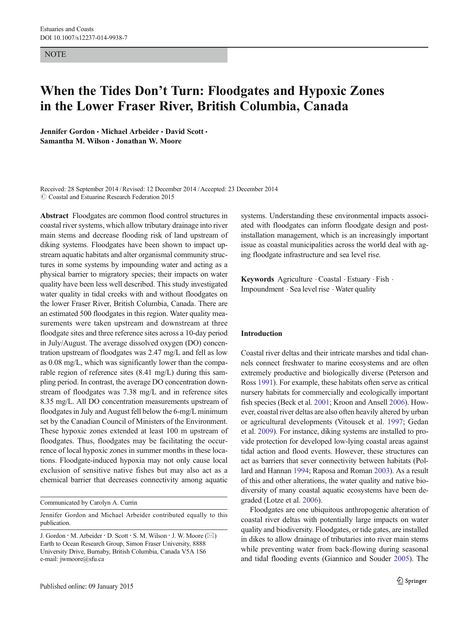#### **NOTE**

# When the Tides Don't Turn: Floodgates and Hypoxic Zones in the Lower Fraser River, British Columbia, Canada

Jennifer Gordon • Michael Arbeider • David Scott • Samantha M. Wilson  $\cdot$  Jonathan W. Moore

Received: 28 September 2014 /Revised: 12 December 2014 /Accepted: 23 December 2014  $\odot$  Coastal and Estuarine Research Federation 2015

Abstract Floodgates are common flood control structures in coastal river systems, which allow tributary drainage into river main stems and decrease flooding risk of land upstream of diking systems. Floodgates have been shown to impact upstream aquatic habitats and alter organismal community structures in some systems by impounding water and acting as a physical barrier to migratory species; their impacts on water quality have been less well described. This study investigated water quality in tidal creeks with and without floodgates on the lower Fraser River, British Columbia, Canada. There are an estimated 500 floodgates in this region. Water quality measurements were taken upstream and downstream at three floodgate sites and three reference sites across a 10-day period in July/August. The average dissolved oxygen (DO) concentration upstream of floodgates was 2.47 mg/L and fell as low as 0.08 mg/L, which was significantly lower than the comparable region of reference sites (8.41 mg/L) during this sampling period. In contrast, the average DO concentration downstream of floodgates was 7.38 mg/L and in reference sites 8.35 mg/L. All DO concentration measurements upstream of floodgates in July and August fell below the 6-mg/L minimum set by the Canadian Council of Ministers of the Environment. These hypoxic zones extended at least 100 m upstream of floodgates. Thus, floodgates may be facilitating the occurrence of local hypoxic zones in summer months in these locations. Floodgate-induced hypoxia may not only cause local exclusion of sensitive native fishes but may also act as a chemical barrier that decreases connectivity among aquatic

Communicated by Carolyn A. Currin

Jennifer Gordon and Michael Arbeider contributed equally to this publication.

systems. Understanding these environmental impacts associated with floodgates can inform floodgate design and postinstallation management, which is an increasingly important issue as coastal municipalities across the world deal with aging floodgate infrastructure and sea level rise.

Keywords Agriculture . Coastal . Estuary . Fish . Impoundment . Sea level rise . Water quality

## Introduction

Coastal river deltas and their intricate marshes and tidal channels connect freshwater to marine ecosystems and are often extremely productive and biologically diverse (Peterson and Ross [1991](#page-6-0)). For example, these habitats often serve as critical nursery habitats for commercially and ecologically important fish species (Beck et al. [2001;](#page-6-0) Kroon and Ansell [2006](#page-6-0)). However, coastal river deltas are also often heavily altered by urban or agricultural developments (Vitousek et al. [1997;](#page-7-0) Gedan et al. [2009](#page-6-0)). For instance, diking systems are installed to provide protection for developed low-lying coastal areas against tidal action and flood events. However, these structures can act as barriers that sever connectivity between habitats (Pollard and Hannan [1994](#page-7-0); Raposa and Roman [2003\)](#page-7-0). As a result of this and other alterations, the water quality and native biodiversity of many coastal aquatic ecosystems have been degraded (Lotze et al. [2006](#page-6-0)).

Floodgates are one ubiquitous anthropogenic alteration of coastal river deltas with potentially large impacts on water quality and biodiversity. Floodgates, or tide gates, are installed in dikes to allow drainage of tributaries into river main stems while preventing water from back-flowing during seasonal and tidal flooding events (Giannico and Souder [2005\)](#page-6-0). The

J. Gordon · M. Arbeider · D. Scott · S. M. Wilson · J. W. Moore ( $\boxtimes$ ) Earth to Ocean Research Group, Simon Fraser University, 8888 University Drive, Burnaby, British Columbia, Canada V5A 1S6 e-mail: jwmoore@sfu.ca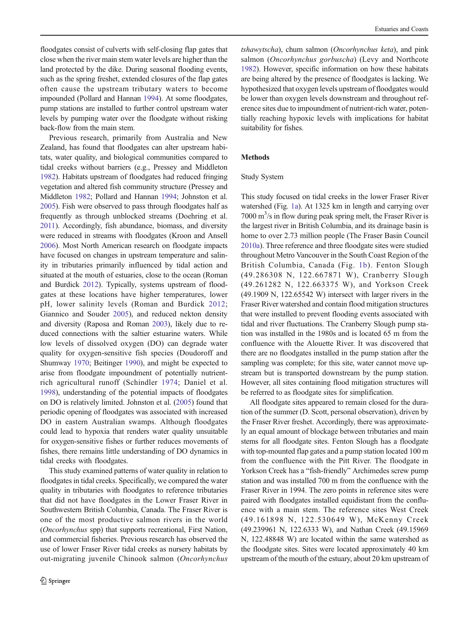floodgates consist of culverts with self-closing flap gates that close when the river main stem water levels are higher than the land protected by the dike. During seasonal flooding events, such as the spring freshet, extended closures of the flap gates often cause the upstream tributary waters to become impounded (Pollard and Hannan [1994\)](#page-7-0). At some floodgates, pump stations are installed to further control upstream water levels by pumping water over the floodgate without risking back-flow from the main stem.

Previous research, primarily from Australia and New Zealand, has found that floodgates can alter upstream habitats, water quality, and biological communities compared to tidal creeks without barriers (e.g., Pressey and Middleton [1982\)](#page-7-0). Habitats upstream of floodgates had reduced fringing vegetation and altered fish community structure (Pressey and Middleton [1982;](#page-7-0) Pollard and Hannan [1994](#page-7-0); Johnston et al. [2005\)](#page-6-0). Fish were observed to pass through floodgates half as frequently as through unblocked streams (Doehring et al. [2011](#page-6-0)). Accordingly, fish abundance, biomass, and diversity were reduced in streams with floodgates (Kroon and Ansell [2006\)](#page-6-0). Most North American research on floodgate impacts have focused on changes in upstream temperature and salinity in tributaries primarily influenced by tidal action and situated at the mouth of estuaries, close to the ocean (Roman and Burdick [2012](#page-7-0)). Typically, systems upstream of floodgates at these locations have higher temperatures, lower pH, lower salinity levels (Roman and Burdick [2012](#page-7-0); Giannico and Souder [2005\)](#page-6-0), and reduced nekton density and diversity (Raposa and Roman [2003\)](#page-7-0), likely due to reduced connections with the saltier estuarine waters. While low levels of dissolved oxygen (DO) can degrade water quality for oxygen-sensitive fish species (Doudoroff and Shumway [1970](#page-6-0); Beitinger [1990](#page-6-0)), and might be expected to arise from floodgate impoundment of potentially nutrientrich agricultural runoff (Schindler [1974](#page-7-0); Daniel et al. [1998\)](#page-6-0), understanding of the potential impacts of floodgates on DO is relatively limited. Johnston et al. ([2005](#page-6-0)) found that periodic opening of floodgates was associated with increased DO in eastern Australian swamps. Although floodgates could lead to hypoxia that renders water quality unsuitable for oxygen-sensitive fishes or further reduces movements of fishes, there remains little understanding of DO dynamics in tidal creeks with floodgates.

This study examined patterns of water quality in relation to floodgates in tidal creeks. Specifically, we compared the water quality in tributaries with floodgates to reference tributaries that did not have floodgates in the Lower Fraser River in Southwestern British Columbia, Canada. The Fraser River is one of the most productive salmon rivers in the world (Oncorhynchus spp) that supports recreational, First Nation, and commercial fisheries. Previous research has observed the use of lower Fraser River tidal creeks as nursery habitats by out-migrating juvenile Chinook salmon (Oncorhynchus

tshawytscha), chum salmon (Oncorhynchus keta), and pink salmon (Oncorhynchus gorbuscha) (Levy and Northcote [1982\)](#page-6-0). However, specific information on how these habitats are being altered by the presence of floodgates is lacking. We hypothesized that oxygen levels upstream of floodgates would be lower than oxygen levels downstream and throughout reference sites due to impoundment of nutrient-rich water, potentially reaching hypoxic levels with implications for habitat suitability for fishes.

## Methods

#### Study System

This study focused on tidal creeks in the lower Fraser River watershed (Fig. [1a\)](#page-2-0). At 1325 km in length and carrying over 7000 m<sup>3</sup>/s in flow during peak spring melt, the Fraser River is the largest river in British Columbia, and its drainage basin is home to over 2.73 million people (The Fraser Basin Council [2010a\)](#page-7-0). Three reference and three floodgate sites were studied throughout Metro Vancouver in the South Coast Region of the British Columbia, Canada (Fig. [1b\)](#page-2-0). Fenton Slough (49.286308 N, 122.667871 W), Cranberry Slough (49.261282 N, 122.663375 W), and Yorkson Creek (49.1909 N, 122.65542 W) intersect with larger rivers in the Fraser River watershed and contain flood mitigation structures that were installed to prevent flooding events associated with tidal and river fluctuations. The Cranberry Slough pump station was installed in the 1980s and is located 65 m from the confluence with the Alouette River. It was discovered that there are no floodgates installed in the pump station after the sampling was complete; for this site, water cannot move upstream but is transported downstream by the pump station. However, all sites containing flood mitigation structures will be referred to as floodgate sites for simplification.

All floodgate sites appeared to remain closed for the duration of the summer (D. Scott, personal observation), driven by the Fraser River freshet. Accordingly, there was approximately an equal amount of blockage between tributaries and main stems for all floodgate sites. Fenton Slough has a floodgate with top-mounted flap gates and a pump station located 100 m from the confluence with the Pitt River. The floodgate in Yorkson Creek has a "fish-friendly" Archimedes screw pump station and was installed 700 m from the confluence with the Fraser River in 1994. The zero points in reference sites were paired with floodgates installed equidistant from the confluence with a main stem. The reference sites West Creek (49.161898 N, 122.530649 W), McKenny Creek (49.239961 N, 122.6333 W), and Nathan Creek (49.15969 N, 122.48848 W) are located within the same watershed as the floodgate sites. Sites were located approximately 40 km upstream of the mouth of the estuary, about 20 km upstream of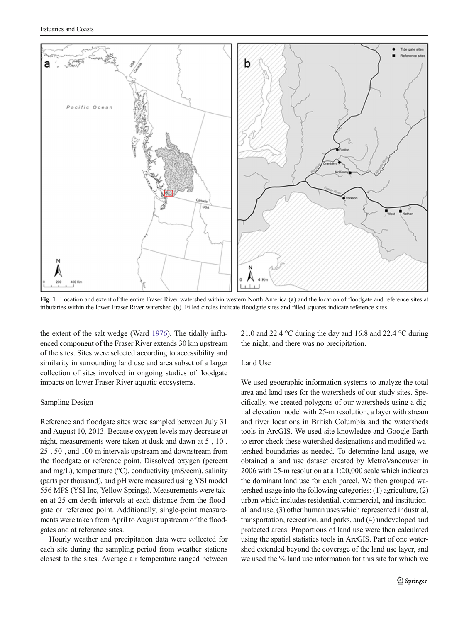<span id="page-2-0"></span>

Fig. 1 Location and extent of the entire Fraser River watershed within western North America (a) and the location of floodgate and reference sites at tributaries within the lower Fraser River watershed (b). Filled circles indicate floodgate sites and filled squares indicate reference sites

the extent of the salt wedge (Ward [1976](#page-7-0)). The tidally influenced component of the Fraser River extends 30 km upstream of the sites. Sites were selected according to accessibility and similarity in surrounding land use and area subset of a larger collection of sites involved in ongoing studies of floodgate impacts on lower Fraser River aquatic ecosystems.

# Sampling Design

Reference and floodgate sites were sampled between July 31 and August 10, 2013. Because oxygen levels may decrease at night, measurements were taken at dusk and dawn at 5-, 10-, 25-, 50-, and 100-m intervals upstream and downstream from the floodgate or reference point. Dissolved oxygen (percent and mg/L), temperature  $(^{\circ}C)$ , conductivity (mS/ccm), salinity (parts per thousand), and pH were measured using YSI model 556 MPS (YSI Inc, Yellow Springs). Measurements were taken at 25-cm-depth intervals at each distance from the floodgate or reference point. Additionally, single-point measurements were taken from April to August upstream of the floodgates and at reference sites.

Hourly weather and precipitation data were collected for each site during the sampling period from weather stations closest to the sites. Average air temperature ranged between 21.0 and 22.4 °C during the day and 16.8 and 22.4 °C during the night, and there was no precipitation.

#### Land Use

We used geographic information systems to analyze the total area and land uses for the watersheds of our study sites. Specifically, we created polygons of our watersheds using a digital elevation model with 25-m resolution, a layer with stream and river locations in British Columbia and the watersheds tools in ArcGIS. We used site knowledge and Google Earth to error-check these watershed designations and modified watershed boundaries as needed. To determine land usage, we obtained a land use dataset created by MetroVancouver in 2006 with 25-m resolution at a 1:20,000 scale which indicates the dominant land use for each parcel. We then grouped watershed usage into the following categories: (1) agriculture, (2) urban which includes residential, commercial, and institutional land use, (3) other human uses which represented industrial, transportation, recreation, and parks, and (4) undeveloped and protected areas. Proportions of land use were then calculated using the spatial statistics tools in ArcGIS. Part of one watershed extended beyond the coverage of the land use layer, and we used the % land use information for this site for which we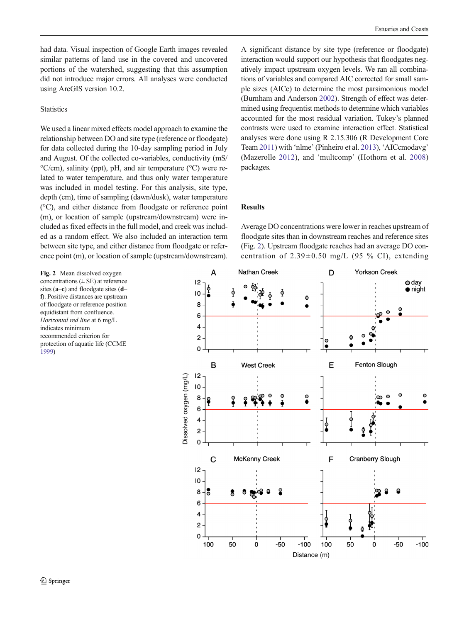had data. Visual inspection of Google Earth images revealed similar patterns of land use in the covered and uncovered portions of the watershed, suggesting that this assumption did not introduce major errors. All analyses were conducted using ArcGIS version 10.2.

# **Statistics**

We used a linear mixed effects model approach to examine the relationship between DO and site type (reference or floodgate) for data collected during the 10-day sampling period in July and August. Of the collected co-variables, conductivity (mS/ °C/cm), salinity (ppt), pH, and air temperature (°C) were related to water temperature, and thus only water temperature was included in model testing. For this analysis, site type, depth (cm), time of sampling (dawn/dusk), water temperature (°C), and either distance from floodgate or reference point (m), or location of sample (upstream/downstream) were included as fixed effects in the full model, and creek was included as a random effect. We also included an interaction term between site type, and either distance from floodgate or reference point (m), or location of sample (upstream/downstream).

Fig. 2 Mean dissolved oxygen concentrations  $(\pm SE)$  at reference sites (a–c) and floodgate sites (d– f). Positive distances are upstream of floodgate or reference position equidistant from confluence. Horizontal red line at 6 mg/L indicates minimum recommended criterion for protection of aquatic life (CCME [1999\)](#page-6-0)

A significant distance by site type (reference or floodgate) interaction would support our hypothesis that floodgates negatively impact upstream oxygen levels. We ran all combinations of variables and compared AIC corrected for small sample sizes (AICc) to determine the most parsimonious model (Burnham and Anderson [2002](#page-6-0)). Strength of effect was determined using frequentist methods to determine which variables accounted for the most residual variation. Tukey's planned contrasts were used to examine interaction effect. Statistical analyses were done using R 2.15.306 (R Development Core Team [2011\)](#page-7-0) with 'nlme' (Pinheiro et al. [2013\)](#page-7-0), 'AICcmodavg' (Mazerolle [2012\)](#page-6-0), and 'multcomp' (Hothorn et al. [2008](#page-6-0)) packages.

# **Results**

**Nathan Creek Yorkson Creek** D A  $12$  $O$  day  $\bullet$  night  $10$  $\ddot{\bullet}$ 8 6  $\overline{\mathbf{4}}$  $\overline{2}$  $\bullet$  $\mathbf 0$ E B **West Creek** Fenton Slough  $12 -$ Dissolved oxygen (mg/L)  $10$  $\bullet$  $\circ$ C O  $\bullet$  $\bullet$ 8 :അ  $\ddot{\bullet}$ 6  $\overline{\mathbf{4}}$  $\boldsymbol{\Phi}$  $\overline{2}$  $\mathbf 0$ **McKenny Creek** F **Cranberry Slough** C  $|2$  $\mathsf{I}\,\mathsf{O}$ 8 18 ႜႜ c 6  $\overline{\mathbf{4}}$ Ş  $\overline{2}$  $\pmb{0}$ 100 50 0  $-50$  $-100$ 100 50 0  $-50$  $-100$ Distance (m)

Average DO concentrations were lower in reaches upstream of floodgate sites than in downstream reaches and reference sites (Fig. 2). Upstream floodgate reaches had an average DO concentration of  $2.39\pm0.50$  mg/L (95 % CI), extending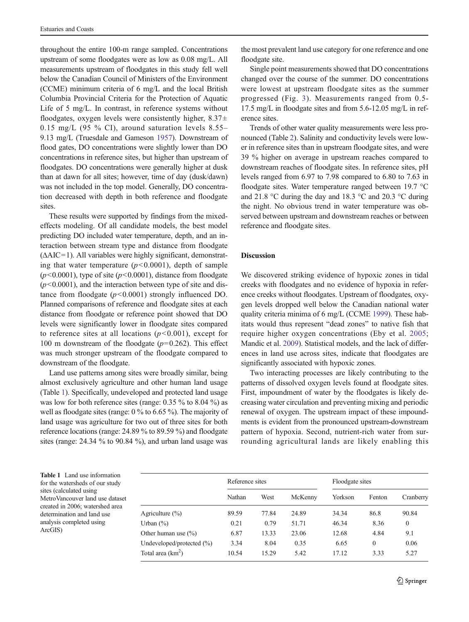<span id="page-4-0"></span>throughout the entire 100-m range sampled. Concentrations upstream of some floodgates were as low as 0.08 mg/L. All measurements upstream of floodgates in this study fell well below the Canadian Council of Ministers of the Environment (CCME) minimum criteria of 6 mg/L and the local British Columbia Provincial Criteria for the Protection of Aquatic Life of 5 mg/L. In contrast, in reference systems without floodgates, oxygen levels were consistently higher,  $8.37\pm$ 0.15 mg/L (95 % CI), around saturation levels  $8.55-$ 9.13 mg/L (Truesdale and Gameson [1957\)](#page-7-0). Downstream of flood gates, DO concentrations were slightly lower than DO concentrations in reference sites, but higher than upstream of floodgates. DO concentrations were generally higher at dusk than at dawn for all sites; however, time of day (dusk/dawn) was not included in the top model. Generally, DO concentration decreased with depth in both reference and floodgate sites.

These results were supported by findings from the mixedeffects modeling. Of all candidate models, the best model predicting DO included water temperature, depth, and an interaction between stream type and distance from floodgate  $(AAIC=1)$ . All variables were highly significant, demonstrating that water temperature  $(p<0.0001)$ , depth of sample  $(p<0.0001)$ , type of site  $(p<0.0001)$ , distance from floodgate  $(p<0.0001)$ , and the interaction between type of site and distance from floodgate  $(p<0.0001)$  strongly influenced DO. Planned comparisons of reference and floodgate sites at each distance from floodgate or reference point showed that DO levels were significantly lower in floodgate sites compared to reference sites at all locations  $(p<0.001)$ , except for 100 m downstream of the floodgate  $(p=0.262)$ . This effect was much stronger upstream of the floodgate compared to downstream of the floodgate.

Land use patterns among sites were broadly similar, being almost exclusively agriculture and other human land usage (Table 1). Specifically, undeveloped and protected land usage was low for both reference sites (range: 0.35 % to 8.04 %) as well as floodgate sites (range: 0 % to 6.65 %). The majority of land usage was agriculture for two out of three sites for both reference locations (range: 24.89 % to 89.59 %) and floodgate sites (range: 24.34 % to 90.84 %), and urban land usage was

the most prevalent land use category for one reference and one floodgate site.

Single point measurements showed that DO concentrations changed over the course of the summer. DO concentrations were lowest at upstream floodgate sites as the summer progressed (Fig. [3](#page-5-0)). Measurements ranged from 0.5- 17.5 mg/L in floodgate sites and from 5.6-12.05 mg/L in reference sites.

Trends of other water quality measurements were less pronounced (Table [2](#page-5-0)). Salinity and conductivity levels were lower in reference sites than in upstream floodgate sites, and were 39 % higher on average in upstream reaches compared to downstream reaches of floodgate sites. In reference sites, pH levels ranged from 6.97 to 7.98 compared to 6.80 to 7.63 in floodgate sites. Water temperature ranged between 19.7 °C and 21.8 °C during the day and 18.3 °C and 20.3 °C during the night. No obvious trend in water temperature was observed between upstream and downstream reaches or between reference and floodgate sites.

# Discussion

We discovered striking evidence of hypoxic zones in tidal creeks with floodgates and no evidence of hypoxia in reference creeks without floodgates. Upstream of floodgates, oxygen levels dropped well below the Canadian national water quality criteria minima of 6 mg/L (CCME [1999\)](#page-6-0). These habitats would thus represent "dead zones" to native fish that require higher oxygen concentrations (Eby et al. [2005;](#page-6-0) Mandic et al. [2009](#page-6-0)). Statistical models, and the lack of differences in land use across sites, indicate that floodgates are significantly associated with hypoxic zones.

Two interacting processes are likely contributing to the patterns of dissolved oxygen levels found at floodgate sites. First, impoundment of water by the floodgates is likely decreasing water circulation and preventing mixing and periodic renewal of oxygen. The upstream impact of these impoundments is evident from the pronounced upstream-downstream pattern of hypoxia. Second, nutrient-rich water from surrounding agricultural lands are likely enabling this

Table 1 Land use information for the watersheds of our study sites (calculated using MetroVancouver land use dataset created in 2006; watershed area determination and land use analysis completed using ArcGIS)

|                               | Reference sites |       |         | Floodgate sites |                  |              |
|-------------------------------|-----------------|-------|---------|-----------------|------------------|--------------|
|                               | Nathan          | West  | McKenny | Yorkson         | Fenton           | Cranberry    |
| Agriculture $(\%)$            | 89.59           | 77.84 | 24.89   | 34.34           | 86.8             | 90.84        |
| Urban $(\%)$                  | 0.21            | 0.79  | 51.71   | 46.34           | 8.36             | $\mathbf{0}$ |
| Other human use $(\% )$       | 6.87            | 13.33 | 23.06   | 12.68           | 4.84             | 9.1          |
| Undeveloped/protected $(\% )$ | 3.34            | 8.04  | 0.35    | 6.65            | $\boldsymbol{0}$ | 0.06         |
| Total area $(km^2)$           | 10.54           | 15.29 | 5.42    | 17.12           | 3.33             | 5.27         |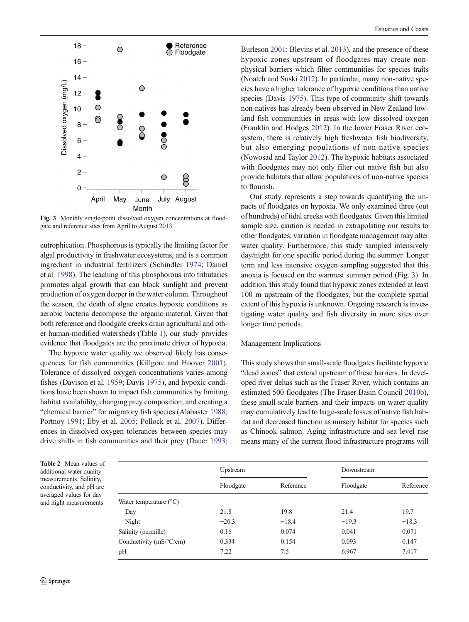<span id="page-5-0"></span>

Fig. 3 Monthly single-point dissolved oxygen concentrations at floodgate and reference sites from April to August 2013

eutrophication. Phosphorous is typically the limiting factor for algal productivity in freshwater ecosystems, and is a common ingredient in industrial fertilizers (Schindler [1974;](#page-7-0) Daniel et al. [1998](#page-6-0)). The leaching of this phosphorous into tributaries promotes algal growth that can block sunlight and prevent production of oxygen deeper in the water column. Throughout the season, the death of algae creates hypoxic conditions as aerobic bacteria decompose the organic material. Given that both reference and floodgate creeks drain agricultural and other human-modified watersheds (Table [1](#page-4-0)), our study provides evidence that floodgates are the proximate driver of hypoxia.

The hypoxic water quality we observed likely has consequences for fish communities (Killgore and Hoover [2001](#page-6-0)). Tolerance of dissolved oxygen concentrations varies among fishes (Davison et al. [1959](#page-6-0); Davis [1975](#page-6-0)), and hypoxic conditions have been shown to impact fish communities by limiting habitat availability, changing prey composition, and creating a "chemical barrier" for migratory fish species (Alabaster [1988](#page-6-0); Portnoy [1991;](#page-7-0) Eby et al. [2005](#page-6-0); Pollock et al. [2007\)](#page-7-0). Differences in dissolved oxygen tolerances between species may drive shifts in fish communities and their prey (Dauer [1993](#page-6-0);

Burleson [2001;](#page-6-0) Blevins et al. [2013\)](#page-6-0), and the presence of these hypoxic zones upstream of floodgates may create nonphysical barriers which filter communities for species traits (Noatch and Suski [2012](#page-6-0)). In particular, many non-native species have a higher tolerance of hypoxic conditions than native species (Davis [1975\)](#page-6-0). This type of community shift towards non-natives has already been observed in New Zealand lowland fish communities in areas with low dissolved oxygen (Franklin and Hodges [2012](#page-6-0)). In the lower Fraser River ecosystem, there is relatively high freshwater fish biodiversity, but also emerging populations of non-native species (Nowosad and Taylor [2012](#page-6-0)). The hypoxic habitats associated with floodgates may not only filter out native fish but also provide habitats that allow populations of non-native species to flourish.

Our study represents a step towards quantifying the impacts of floodgates on hypoxia. We only examined three (out of hundreds) of tidal creeks with floodgates. Given this limited sample size, caution is needed in extrapolating our results to other floodgates; variation in floodgate management may alter water quality. Furthermore, this study sampled intensively day/night for one specific period during the summer. Longer term and less intensive oxygen sampling suggested that this anoxia is focused on the warmest summer period (Fig. 3). In addition, this study found that hypoxic zones extended at least 100 m upstream of the floodgates, but the complete spatial extent of this hypoxia is unknown. Ongoing research is investigating water quality and fish diversity in more sites over longer time periods.

#### Management Implications

This study shows that small-scale floodgates facilitate hypoxic "dead zones" that extend upstream of these barriers. In developed river deltas such as the Fraser River, which contains an estimated 500 floodgates (The Fraser Basin Council [2010b\)](#page-7-0), these small-scale barriers and their impacts on water quality may cumulatively lead to large-scale losses of native fish habitat and decreased function as nursery habitat for species such as Chinook salmon. Aging infrastructure and sea level rise means many of the current flood infrastructure programs will

Table 2 Mean values of additional water quality measurements. Salinity, conductivity, and pH are averaged values for day and night measurements

|                                 | Upstream  |           | Downstream |           |
|---------------------------------|-----------|-----------|------------|-----------|
|                                 | Floodgate | Reference | Floodgate  | Reference |
| Water temperature $(^{\circ}C)$ |           |           |            |           |
| Day                             | 21.8      | 19.8      | 21.4       | 19.7      |
| Night                           | $-20.3$   | $-18.4$   | $-19.3$    | $-18.3$   |
| Salinity (permille)             | 0.16      | 0.074     | 0.041      | 0.071     |
| Conductivity $(mS/C/cm)$        | 0.334     | 0.154     | 0.093      | 0.147     |
| pH                              | 7.22      | 7.5       | 6.967      | 7.417     |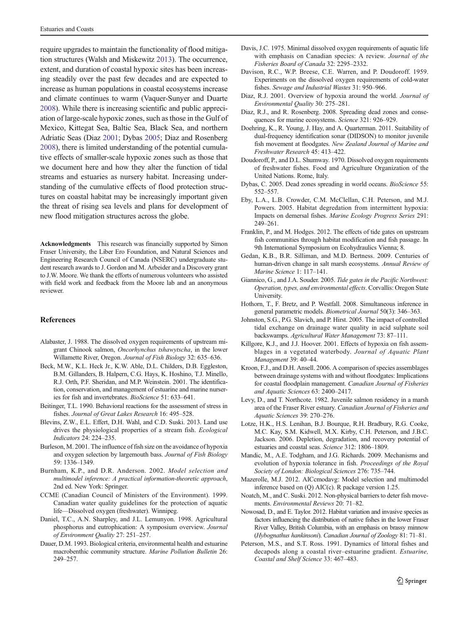<span id="page-6-0"></span>require upgrades to maintain the functionality of flood mitigation structures (Walsh and Miskewitz [2013](#page-7-0)). The occurrence, extent, and duration of coastal hypoxic sites has been increasing steadily over the past few decades and are expected to increase as human populations in coastal ecosystems increase and climate continues to warm (Vaquer-Sunyer and Duarte [2008\)](#page-7-0). While there is increasing scientific and public appreciation of large-scale hypoxic zones, such as those in the Gulf of Mexico, Kittegat Sea, Baltic Sea, Black Sea, and northern Adriatic Seas (Diaz 2001; Dybas 2005; Diaz and Rosenberg 2008), there is limited understanding of the potential cumulative effects of smaller-scale hypoxic zones such as those that we document here and how they alter the function of tidal streams and estuaries as nursery habitat. Increasing understanding of the cumulative effects of flood protection structures on coastal habitat may be increasingly important given the threat of rising sea levels and plans for development of new flood mitigation structures across the globe.

Acknowledgments This research was financially supported by Simon Fraser University, the Liber Ero Foundation, and Natural Sciences and Engineering Research Council of Canada (NSERC) undergraduate student research awards to J. Gordon and M. Arbeider and a Discovery grant to J.W. Moore. We thank the efforts of numerous volunteers who assisted with field work and feedback from the Moore lab and an anonymous reviewer.

#### References

- Alabaster, J. 1988. The dissolved oxygen requirements of upstream migrant Chinook salmon, Oncorhynchus tshawytscha, in the lower Willamette River, Oregon. Journal of Fish Biology 32: 635–636.
- Beck, M.W., K.L. Heck Jr., K.W. Able, D.L. Childers, D.B. Eggleston, B.M. Gillanders, B. Halpern, C.G. Hays, K. Hoshino, T.J. Minello, R.J. Orth, P.F. Sheridan, and M.P. Weinstein. 2001. The identification, conservation, and management of estuarine and marine nurseries for fish and invertebrates. BioScience 51: 633–641.
- Beitinger, T.L. 1990. Behavioral reactions for the assessment of stress in fishes. Journal of Great Lakes Research 16: 495–528.
- Blevins, Z.W., E.L. Effert, D.H. Wahl, and C.D. Suski. 2013. Land use drives the physiological properties of a stream fish. Ecological Indicators 24: 224–235.
- Burleson, M. 2001. The influence of fish size on the avoidance of hypoxia and oxygen selection by largemouth bass. Journal of Fish Biology 59: 1336–1349.
- Burnham, K.P., and D.R. Anderson. 2002. Model selection and multimodel inference: A practical information-theoretic approach, 2nd ed. New York: Springer.
- CCME (Canadian Council of Ministers of the Environment). 1999. Canadian water quality guidelines for the protection of aquatic life—Dissolved oxygen (freshwater). Winnipeg.
- Daniel, T.C., A.N. Sharpley, and J.L. Lemunyon. 1998. Agricultural phosphorus and eutrophication: A symposium overview. Journal of Environment Quality 27: 251–257.
- Dauer, D.M. 1993. Biological criteria, environmental health and estuarine macrobenthic community structure. Marine Pollution Bulletin 26: 249–257.
- Davis, J.C. 1975. Minimal dissolved oxygen requirements of aquatic life with emphasis on Canadian species: A review. Journal of the Fisheries Board of Canada 32: 2295–2332.
- Davison, R.C., W.P. Breese, C.E. Warren, and P. Doudoroff. 1959. Experiments on the dissolved oxygen requirements of cold-water fishes. Sewage and Industrial Wastes 31: 950–966.
- Diaz, R.J. 2001. Overview of hypoxia around the world. Journal of Environmental Quality 30: 275–281.
- Diaz, R.J., and R. Rosenberg. 2008. Spreading dead zones and consequences for marine ecosystems. Science 321: 926–929.
- Doehring, K., R. Young, J. Hay, and A. Quarterman. 2011. Suitability of dual-frequency identification sonar (DIDSON) to monitor juvenile fish movement at floodgates. New Zealand Journal of Marine and Freshwater Research 45: 413–422.
- Doudoroff, P., and D.L. Shumway. 1970. Dissolved oxygen requirements of freshwater fishes. Food and Agriculture Organization of the United Nations. Rome, Italy.
- Dybas, C. 2005. Dead zones spreading in world oceans. BioScience 55: 552–557.
- Eby, L.A., L.B. Crowder, C.M. McClellan, C.H. Peterson, and M.J. Powers. 2005. Habitat degredation from intermittent hypoxia: Impacts on demersal fishes. Marine Ecology Progress Series 291: 249–261.
- Franklin, P., and M. Hodges. 2012. The effects of tide gates on upstream fish communities through habitat modification and fish passage. In 9th International Symposium on Ecohydraulics Vienna; 8.
- Gedan, K.B., B.R. Silliman, and M.D. Bertness. 2009. Centuries of human-driven change in salt marsh ecosystems. Annual Review of Marine Science 1: 117–141.
- Giannico, G., and J.A. Souder. 2005. Tide gates in the Pacific Northwest: Operation, types, and environmental effects. Corvallis: Oregon State University.
- Hothorn, T., F. Bretz, and P. Westfall. 2008. Simultaneous inference in general parametric models. Biometrical Journal 50(3): 346–363.
- Johnston, S.G., P.G. Slavich, and P. Hirst. 2005. The impact of controlled tidal exchange on drainage water quality in acid sulphate soil backswamps. Agricultural Water Management 73: 87–111.
- Killgore, K.J., and J.J. Hoover. 2001. Effects of hypoxia on fish assemblages in a vegetated waterbody. Journal of Aquatic Plant Management 39: 40–44.
- Kroon, F.J., and D.H. Ansell. 2006. A comparison of species assemblages between drainage systems with and without floodgates: Implications for coastal floodplain management. Canadian Journal of Fisheries and Aquatic Sciences 63: 2400–2417.
- Levy, D., and T. Northcote. 1982. Juvenile salmon residency in a marsh area of the Fraser River estuary. Canadian Journal of Fisheries and Aquatic Sciences 39: 270–276.
- Lotze, H.K., H.S. Lenihan, B.J. Bourque, R.H. Bradbury, R.G. Cooke, M.C. Kay, S.M. Kidwell, M.X. Kirby, C.H. Peterson, and J.B.C. Jackson. 2006. Depletion, degradation, and recovery potential of estuaries and coastal seas. Science 312: 1806–1809.
- Mandic, M., A.E. Todgham, and J.G. Richards. 2009. Mechanisms and evolution of hypoxia tolerance in fish. Proceedings of the Royal Society of London: Biological Sciences 276: 735–744.
- Mazerolle, M.J. 2012. AICcmodavg: Model selection and multimodel inference based on (Q) AIC(c). R package version 1.25.
- Noatch, M., and C. Suski. 2012. Non-physical barriers to deter fish movements. Environmental Reviews 20: 71–82.
- Nowosad, D., and E. Taylor. 2012. Habitat variation and invasive species as factors influencing the distribution of native fishes in the lower Fraser River Valley, British Columbia, with an emphasis on brassy minnow (Hybognathus hankinsoni). Canadian Journal of Zoology 81: 71–81.
- Peterson, M.S., and S.T. Ross. 1991. Dynamics of littoral fishes and decapods along a coastal river–estuarine gradient. Estuarine, Coastal and Shelf Science 33: 467–483.